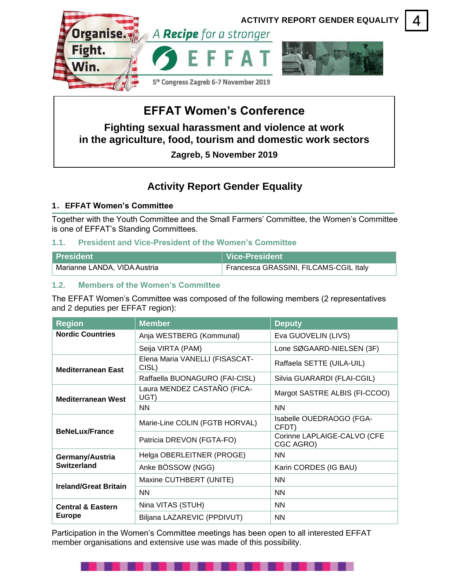

# **EFFAT Women's Conference**

**Fighting sexual harassment and violence at work in the agriculture, food, tourism and domestic work sectors**

**Zagreb, 5 November 2019**

# **Activity Report Gender Equality**

# **1. EFFAT Women's Committee**

Together with the Youth Committee and the Small Farmers' Committee, the Women's Committee is one of EFFAT's Standing Committees.

# **1.1. President and Vice-President of the Women's Committee**

| l President                               | ∣ Vice-President                       |
|-------------------------------------------|----------------------------------------|
| <sup>∣</sup> Marianne LANDA, VIDA Austria | Francesca GRASSINI, FILCAMS-CGIL Italy |

# **1.2. Members of the Women's Committee**

The EFFAT Women's Committee was composed of the following members (2 representatives and 2 deputies per EFFAT region):

| <b>Region</b>                                 | <b>Member</b>                           | <b>Deputy</b>                            |  |
|-----------------------------------------------|-----------------------------------------|------------------------------------------|--|
| <b>Nordic Countries</b>                       | Anja WESTBERG (Kommunal)                | Eva GUOVELIN (LIVS)                      |  |
|                                               | Seija VIRTA (PAM)                       | Lone SØGAARD-NIELSEN (3F)                |  |
| <b>Mediterranean East</b>                     | Elena Maria VANELLI (FISASCAT-<br>CISL) | Raffaela SETTE (UILA-UIL)                |  |
|                                               | Raffaella BUONAGURO (FAI-CISL)          | Silvia GUARARDI (FLAI-CGIL)              |  |
| <b>Mediterranean West</b>                     | Laura MENDEZ CASTAÑO (FICA-<br>UGT)     | Margot SASTRE ALBIS (FI-CCOO)            |  |
|                                               | <b>NN</b>                               | <b>NN</b>                                |  |
| <b>BeNeLux/France</b>                         | Marie-Line COLIN (FGTB HORVAL)          | Isabelle OUEDRAOGO (FGA-<br>CFDT)        |  |
|                                               | Patricia DREVON (FGTA-FO)               | Corinne LAPLAIGE-CALVO (CFE<br>CGC AGRO) |  |
| Germany/Austria<br>Switzerland                | Helga OBERLEITNER (PROGE)               | <b>NN</b>                                |  |
|                                               | Anke BÖSSOW (NGG)                       | Karin CORDES (IG BAU)                    |  |
| <b>Ireland/Great Britain</b>                  | Maxine CUTHBERT (UNITE)                 | <b>NN</b>                                |  |
|                                               | <b>NN</b>                               | <b>NN</b>                                |  |
| <b>Central &amp; Eastern</b><br><b>Europe</b> | Nina VITAS (STUH)                       | <b>NN</b>                                |  |
|                                               | Biljana LAZAREVIC (PPDIVUT)             | <b>NN</b>                                |  |

Participation in the Women's Committee meetings has been open to all interested EFFAT member organisations and extensive use was made of this possibility.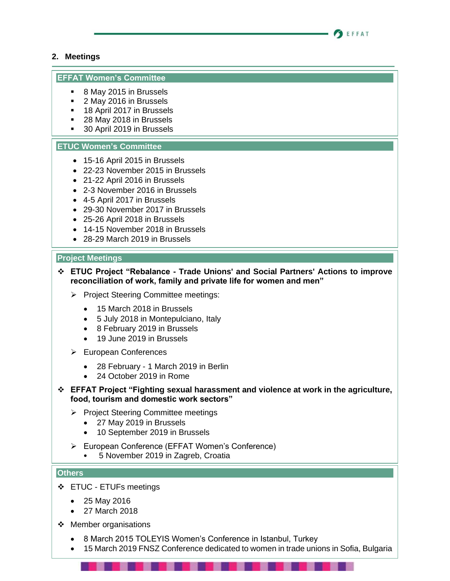![](_page_1_Picture_0.jpeg)

# **2. Meetings**

# **EFFAT Women's Committee**

- 8 May 2015 in Brussels
- 2 May 2016 in Brussels
- 18 April 2017 in Brussels
- 28 May 2018 in Brussels
- 30 April 2019 in Brussels

# **ETUC Women's Committee**

- 15-16 April 2015 in Brussels
- 22-23 November 2015 in Brussels
- 21-22 April 2016 in Brussels
- 2-3 November 2016 in Brussels
- 4-5 April 2017 in Brussels
- 29-30 November 2017 in Brussels
- 25-26 April 2018 in Brussels
- 14-15 November 2018 in Brussels
- 28-29 March 2019 in Brussels

# **Project Meetings**

- ❖ **ETUC Project "Rebalance - Trade Unions' and Social Partners' Actions to improve reconciliation of work, family and private life for women and men"**
	- ➢ Project Steering Committee meetings:
		- 15 March 2018 in Brussels
		- 5 July 2018 in Montepulciano, Italy
		- 8 February 2019 in Brussels
		- 19 June 2019 in Brussels
	- ➢ European Conferences
		- 28 February 1 March 2019 in Berlin
		- 24 October 2019 in Rome
- ❖ **EFFAT Project "Fighting sexual harassment and violence at work in the agriculture, food, tourism and domestic work sectors"**
	- ➢ Project Steering Committee meetings
		- 27 May 2019 in Brussels
		- 10 September 2019 in Brussels
	- ➢ European Conference (EFFAT Women's Conference)
		- 5 November 2019 in Zagreb, Croatia

# **Others**

- ❖ ETUC ETUFs meetings
	- 25 May 2016
	- 27 March 2018
- ❖ Member organisations
	- 8 March 2015 TOLEYIS Women's Conference in Istanbul, Turkey
	- 15 March 2019 FNSZ Conference dedicated to women in trade unions in Sofia, Bulgaria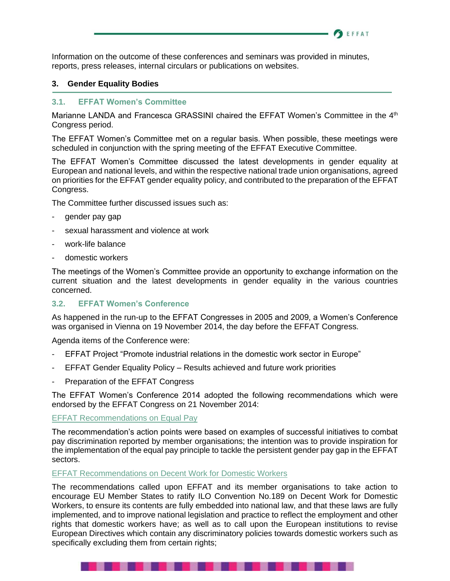Information on the outcome of these conferences and seminars was provided in minutes, reports, press releases, internal circulars or publications on websites.

# **3. Gender Equality Bodies**

# **3.1. EFFAT Women's Committee**

Marianne LANDA and Francesca GRASSINI chaired the EFFAT Women's Committee in the 4<sup>th</sup> Congress period.

**BEFFAT** 

The EFFAT Women's Committee met on a regular basis. When possible, these meetings were scheduled in conjunction with the spring meeting of the EFFAT Executive Committee.

The EFFAT Women's Committee discussed the latest developments in gender equality at European and national levels, and within the respective national trade union organisations, agreed on priorities for the EFFAT gender equality policy, and contributed to the preparation of the EFFAT Congress.

The Committee further discussed issues such as:

- gender pay gap
- sexual harassment and violence at work
- work-life balance
- domestic workers

The meetings of the Women's Committee provide an opportunity to exchange information on the current situation and the latest developments in gender equality in the various countries concerned.

# **3.2. EFFAT Women's Conference**

As happened in the run-up to the EFFAT Congresses in 2005 and 2009, a Women's Conference was organised in Vienna on 19 November 2014, the day before the EFFAT Congress.

Agenda items of the Conference were:

- EFFAT Project "Promote industrial relations in the domestic work sector in Europe"
- EFFAT Gender Equality Policy Results achieved and future work priorities
- Preparation of the EFFAT Congress

The EFFAT Women's Conference 2014 adopted the following recommendations which were endorsed by the EFFAT Congress on 21 November 2014:

#### [EFFAT Recommendations on Equal Pay](https://www.effat.org/wp-content/uploads/2019/10/EFFAT-Congress-recommendations-on-equal-pay-2014-11-21-EN.pdf)

The recommendation's action points were based on examples of successful initiatives to combat pay discrimination reported by member organisations; the intention was to provide inspiration for the implementation of the equal pay principle to tackle the persistent gender pay gap in the EFFAT sectors.

#### [EFFAT Recommendations on Decent Work for Domestic Workers](https://www.effat.org/wp-content/uploads/2019/10/EFFAT-Congress-recommendations-on-domestic-workers-2014-11-21-EN.pdf)

. . .

The recommendations called upon EFFAT and its member organisations to take action to encourage EU Member States to ratify ILO Convention No.189 on Decent Work for Domestic Workers, to ensure its contents are fully embedded into national law, and that these laws are fully implemented, and to improve national legislation and practice to reflect the employment and other rights that domestic workers have; as well as to call upon the European institutions to revise European Directives which contain any discriminatory policies towards domestic workers such as specifically excluding them from certain rights;

. . . . . . .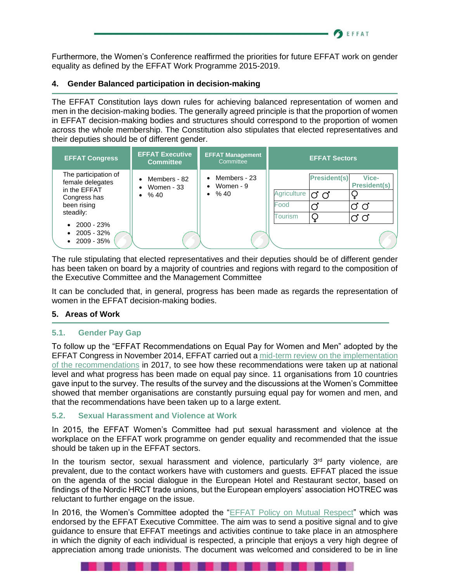Furthermore, the Women's Conference reaffirmed the priorities for future EFFAT work on gender equality as defined by the EFFAT Work Programme 2015-2019.

**SEFFAT** 

# **4. Gender Balanced participation in decision-making**

The EFFAT Constitution lays down rules for achieving balanced representation of women and men in the decision-making bodies. The generally agreed principle is that the proportion of women in EFFAT decision-making bodies and structures should correspond to the proportion of women across the whole membership. The Constitution also stipulates that elected representatives and their deputies should be of different gender.

| <b>EFFAT Congress</b>                                                                                                                                                        | <b>EFFAT Executive</b><br><b>Committee</b>          | <b>EFFAT Management</b><br>Committee                     | <b>EFFAT Sectors</b>                                                |                                   |
|------------------------------------------------------------------------------------------------------------------------------------------------------------------------------|-----------------------------------------------------|----------------------------------------------------------|---------------------------------------------------------------------|-----------------------------------|
| The participation of<br>female delegates<br>in the EFFAT<br>Congress has<br>been rising<br>steadily:<br>$\bullet$ 2000 - 23%<br>$\bullet$ 2005 - 32%<br>$\bullet$ 2009 - 35% | Members - 82<br>Women - 33<br>$\bullet$<br>• $% 40$ | $\bullet$ Members - 23<br>• Women $-9$<br>$\bullet$ % 40 | <b>President(s)</b><br>Agriculture<br>ರ ೧<br>Food<br><b>Tourism</b> | Vice-<br><b>President(s)</b><br>Ø |

The rule stipulating that elected representatives and their deputies should be of different gender has been taken on board by a majority of countries and regions with regard to the composition of the Executive Committee and the Management Committee

It can be concluded that, in general, progress has been made as regards the representation of women in the EFFAT decision-making bodies.

# **5. Areas of Work**

# **5.1. Gender Pay Gap**

To follow up the "EFFAT Recommendations on Equal Pay for Women and Men" adopted by the EFFAT Congress in November 2014, EFFAT carried out a [mid-term review on the implementation](https://www.effat.org/wp-content/uploads/2019/10/Evaluation-mid-term-review-EFFAT-Recommendations-on-equal-pay-2017-04-EN-final.pdf)  [of the recommendations](https://www.effat.org/wp-content/uploads/2019/10/Evaluation-mid-term-review-EFFAT-Recommendations-on-equal-pay-2017-04-EN-final.pdf) in 2017, to see how these recommendations were taken up at national level and what progress has been made on equal pay since. 11 organisations from 10 countries gave input to the survey. The results of the survey and the discussions at the Women's Committee showed that member organisations are constantly pursuing equal pay for women and men, and that the recommendations have been taken up to a large extent.

# **5.2. Sexual Harassment and Violence at Work**

In 2015, the EFFAT Women's Committee had put sexual harassment and violence at the workplace on the EFFAT work programme on gender equality and recommended that the issue should be taken up in the EFFAT sectors.

In the tourism sector, sexual harassment and violence, particularly  $3<sup>rd</sup>$  party violence, are prevalent, due to the contact workers have with customers and guests. EFFAT placed the issue on the agenda of the social dialogue in the European Hotel and Restaurant sector, based on findings of the Nordic HRCT trade unions, but the European employers' association HOTREC was reluctant to further engage on the issue.

In 2016, the Women's Committee adopted the ["EFFAT Policy on Mutual Respect"](https://www.effat.org/wp-content/uploads/2019/10/EFFAT-Policy-on-Mutual-Respect-EN-final.pdf) which was endorsed by the EFFAT Executive Committee. The aim was to send a positive signal and to give guidance to ensure that EFFAT meetings and activities continue to take place in an atmosphere in which the dignity of each individual is respected, a principle that enjoys a very high degree of appreciation among trade unionists. The document was welcomed and considered to be in line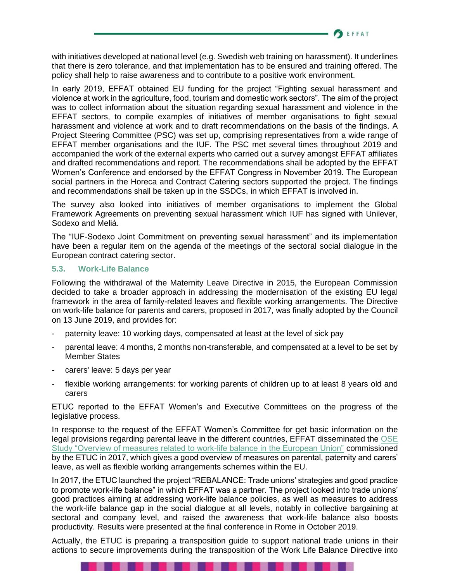**BEFFAT** 

with initiatives developed at national level (e.g. Swedish web training on harassment). It underlines that there is zero tolerance, and that implementation has to be ensured and training offered. The policy shall help to raise awareness and to contribute to a positive work environment.

In early 2019, EFFAT obtained EU funding for the project "Fighting sexual harassment and violence at work in the agriculture, food, tourism and domestic work sectors". The aim of the project was to collect information about the situation regarding sexual harassment and violence in the EFFAT sectors, to compile examples of initiatives of member organisations to fight sexual harassment and violence at work and to draft recommendations on the basis of the findings. A Project Steering Committee (PSC) was set up, comprising representatives from a wide range of EFFAT member organisations and the IUF. The PSC met several times throughout 2019 and accompanied the work of the external experts who carried out a survey amongst EFFAT affiliates and drafted recommendations and report. The recommendations shall be adopted by the EFFAT Women's Conference and endorsed by the EFFAT Congress in November 2019. The European social partners in the Horeca and Contract Catering sectors supported the project. The findings and recommendations shall be taken up in the SSDCs, in which EFFAT is involved in.

The survey also looked into initiatives of member organisations to implement the Global Framework Agreements on preventing sexual harassment which IUF has signed with Unilever, Sodexo and Meliá.

The "IUF-Sodexo Joint Commitment on preventing sexual harassment" and its implementation have been a regular item on the agenda of the meetings of the sectoral social dialogue in the European contract catering sector.

# **5.3. Work-Life Balance**

Following the withdrawal of the Maternity Leave Directive in 2015, the European Commission decided to take a broader approach in addressing the modernisation of the existing EU legal framework in the area of family-related leaves and flexible working arrangements. The Directive on work-life balance for parents and carers, proposed in 2017, was finally adopted by the Council on 13 June 2019, and provides for:

- paternity leave: 10 working days, compensated at least at the level of sick pay
- parental leave: 4 months, 2 months non-transferable, and compensated at a level to be set by Member States
- carers' leave: 5 days per year

---

flexible working arrangements: for working parents of children up to at least 8 years old and carers

ETUC reported to the EFFAT Women's and Executive Committees on the progress of the legislative process.

In response to the request of the EFFAT Women's Committee for get basic information on the legal provisions regarding parental leave in the different countries, EFFAT disseminated the [OSE](https://www.effat.org/wp-content/uploads/2019/10/ETUC-OSE-Overview-work-life-balance-measures-in-EU-2018.pdf)  [Study "Overview of measures related to work-life balance in the European Union"](https://www.effat.org/wp-content/uploads/2019/10/ETUC-OSE-Overview-work-life-balance-measures-in-EU-2018.pdf) commissioned by the ETUC in 2017, which gives a good overview of measures on parental, paternity and carers' leave, as well as flexible working arrangements schemes within the EU.

In 2017, the ETUC launched the project "REBALANCE: Trade unions' strategies and good practice to promote work-life balance" in which EFFAT was a partner. The project looked into trade unions' good practices aiming at addressing work-life balance policies, as well as measures to address the work-life balance gap in the social dialogue at all levels, notably in collective bargaining at sectoral and company level, and raised the awareness that work-life balance also boosts productivity. Results were presented at the final conference in Rome in October 2019.

Actually, the ETUC is preparing a transposition guide to support national trade unions in their actions to secure improvements during the transposition of the Work Life Balance Directive into

----